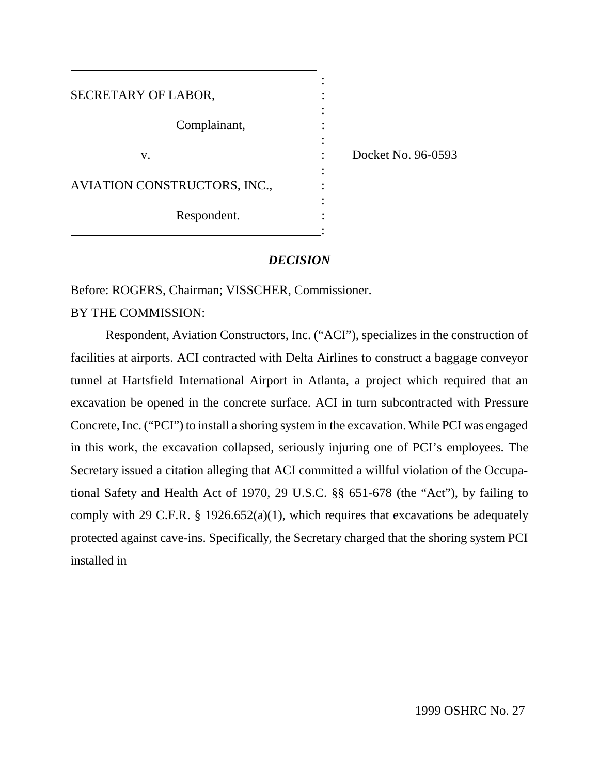| SECRETARY OF LABOR,          |  |
|------------------------------|--|
| Complainant,                 |  |
| V.                           |  |
| AVIATION CONSTRUCTORS, INC., |  |
| Respondent.                  |  |

 $\cot N_0$ , 96-0593

# *DECISION*

Before: ROGERS, Chairman; VISSCHER, Commissioner.

BY THE COMMISSION:

Respondent, Aviation Constructors, Inc. ("ACI"), specializes in the construction of facilities at airports. ACI contracted with Delta Airlines to construct a baggage conveyor tunnel at Hartsfield International Airport in Atlanta, a project which required that an excavation be opened in the concrete surface. ACI in turn subcontracted with Pressure Concrete, Inc. ("PCI") to install a shoring system in the excavation. While PCI was engaged in this work, the excavation collapsed, seriously injuring one of PCI's employees. The Secretary issued a citation alleging that ACI committed a willful violation of the Occupational Safety and Health Act of 1970, 29 U.S.C. §§ 651-678 (the "Act"), by failing to comply with 29 C.F.R.  $\S$  1926.652(a)(1), which requires that excavations be adequately protected against cave-ins. Specifically, the Secretary charged that the shoring system PCI installed in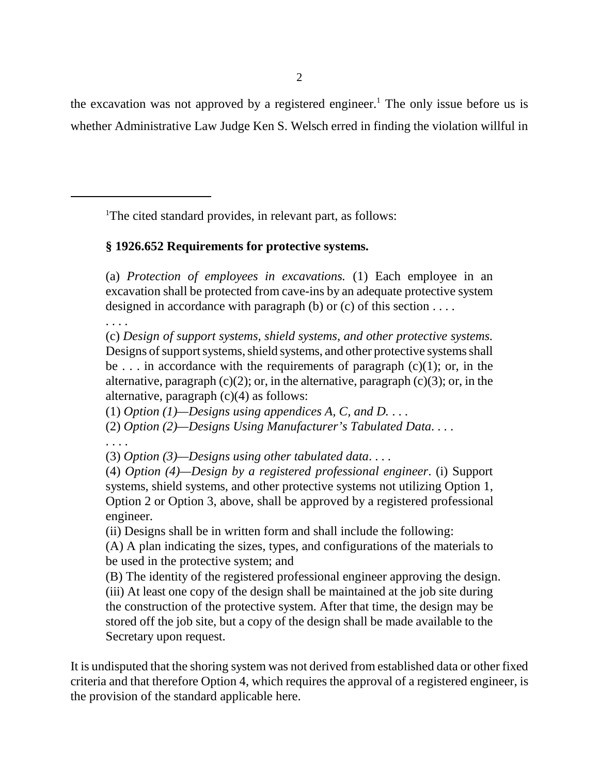the excavation was not approved by a registered engineer.<sup>1</sup> The only issue before us is whether Administrative Law Judge Ken S. Welsch erred in finding the violation willful in

<sup>1</sup>The cited standard provides, in relevant part, as follows:

# **§ 1926.652 Requirements for protective systems.**

(a) *Protection of employees in excavations.* (1) Each employee in an excavation shall be protected from cave-ins by an adequate protective system designed in accordance with paragraph (b) or (c) of this section  $\dots$ .

. . . .

(c) *Design of support systems, shield systems, and other protective systems.* Designs of support systems, shield systems, and other protective systems shall be . . . in accordance with the requirements of paragraph  $(c)(1)$ ; or, in the alternative, paragraph  $(c)(2)$ ; or, in the alternative, paragraph  $(c)(3)$ ; or, in the alternative, paragraph (c)(4) as follows:

(1) *Option (1)—Designs using appendices A, C, and D.* . . .

(2) *Option (2)—Designs Using Manufacturer's Tabulated Data*. . . .

. . . .

(3) *Option (3)—Designs using other tabulated data*. . . .

(4) *Option (4)—Design by a registered professional engineer*. (i) Support systems, shield systems, and other protective systems not utilizing Option 1, Option 2 or Option 3, above, shall be approved by a registered professional engineer.

(ii) Designs shall be in written form and shall include the following:

(A) A plan indicating the sizes, types, and configurations of the materials to be used in the protective system; and

(B) The identity of the registered professional engineer approving the design. (iii) At least one copy of the design shall be maintained at the job site during the construction of the protective system. After that time, the design may be stored off the job site, but a copy of the design shall be made available to the Secretary upon request.

It is undisputed that the shoring system was not derived from established data or other fixed criteria and that therefore Option 4, which requires the approval of a registered engineer, is the provision of the standard applicable here.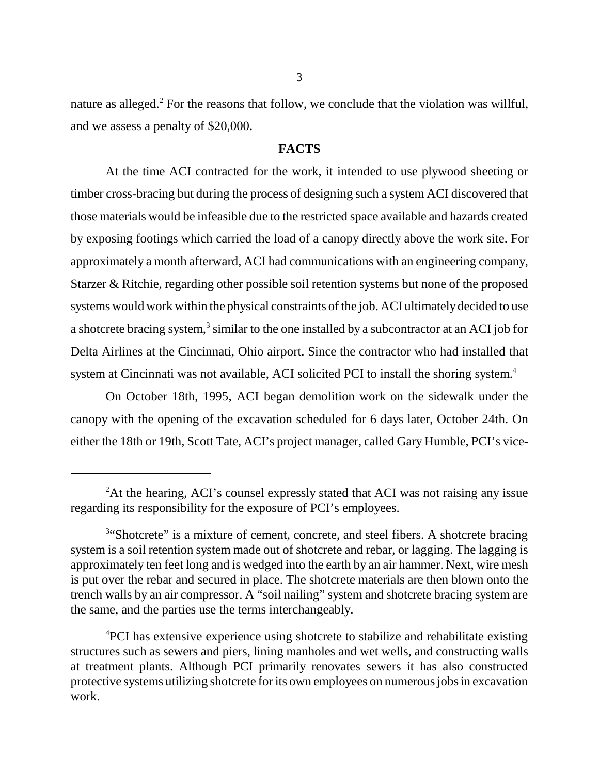nature as alleged.<sup>2</sup> For the reasons that follow, we conclude that the violation was willful, and we assess a penalty of \$20,000.

### **FACTS**

At the time ACI contracted for the work, it intended to use plywood sheeting or timber cross-bracing but during the process of designing such a system ACI discovered that those materials would be infeasible due to the restricted space available and hazards created by exposing footings which carried the load of a canopy directly above the work site. For approximately a month afterward, ACI had communications with an engineering company, Starzer & Ritchie, regarding other possible soil retention systems but none of the proposed systems would work within the physical constraints of the job. ACI ultimately decided to use a shotcrete bracing system, $3$  similar to the one installed by a subcontractor at an ACI job for Delta Airlines at the Cincinnati, Ohio airport. Since the contractor who had installed that system at Cincinnati was not available, ACI solicited PCI to install the shoring system.<sup>4</sup>

On October 18th, 1995, ACI began demolition work on the sidewalk under the canopy with the opening of the excavation scheduled for 6 days later, October 24th. On either the 18th or 19th, Scott Tate, ACI's project manager, called Gary Humble, PCI's vice-

<sup>&</sup>lt;sup>2</sup>At the hearing, ACI's counsel expressly stated that ACI was not raising any issue regarding its responsibility for the exposure of PCI's employees.

<sup>&</sup>lt;sup>3"</sup>Shotcrete" is a mixture of cement, concrete, and steel fibers. A shotcrete bracing system is a soil retention system made out of shotcrete and rebar, or lagging. The lagging is approximately ten feet long and is wedged into the earth by an air hammer. Next, wire mesh is put over the rebar and secured in place. The shotcrete materials are then blown onto the trench walls by an air compressor. A "soil nailing" system and shotcrete bracing system are the same, and the parties use the terms interchangeably.

<sup>&</sup>lt;sup>4</sup>PCI has extensive experience using shotcrete to stabilize and rehabilitate existing structures such as sewers and piers, lining manholes and wet wells, and constructing walls at treatment plants. Although PCI primarily renovates sewers it has also constructed protective systems utilizing shotcrete for its own employees on numerous jobs in excavation work.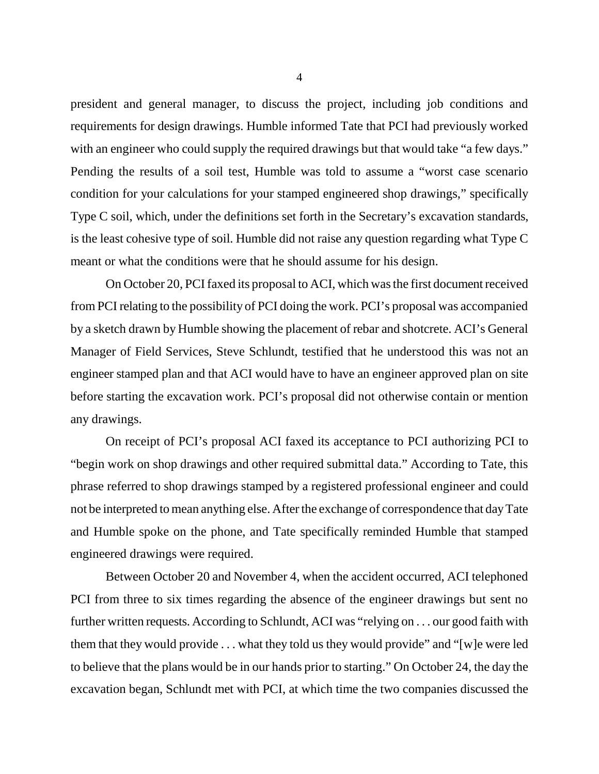president and general manager, to discuss the project, including job conditions and requirements for design drawings. Humble informed Tate that PCI had previously worked with an engineer who could supply the required drawings but that would take "a few days." Pending the results of a soil test, Humble was told to assume a "worst case scenario condition for your calculations for your stamped engineered shop drawings," specifically Type C soil, which, under the definitions set forth in the Secretary's excavation standards, is the least cohesive type of soil. Humble did not raise any question regarding what Type C meant or what the conditions were that he should assume for his design.

On October 20, PCI faxed its proposal to ACI, which was the first document received from PCI relating to the possibility of PCI doing the work. PCI's proposal was accompanied by a sketch drawn by Humble showing the placement of rebar and shotcrete. ACI's General Manager of Field Services, Steve Schlundt, testified that he understood this was not an engineer stamped plan and that ACI would have to have an engineer approved plan on site before starting the excavation work. PCI's proposal did not otherwise contain or mention any drawings.

On receipt of PCI's proposal ACI faxed its acceptance to PCI authorizing PCI to "begin work on shop drawings and other required submittal data." According to Tate, this phrase referred to shop drawings stamped by a registered professional engineer and could not be interpreted to mean anything else. After the exchange of correspondence that day Tate and Humble spoke on the phone, and Tate specifically reminded Humble that stamped engineered drawings were required.

Between October 20 and November 4, when the accident occurred, ACI telephoned PCI from three to six times regarding the absence of the engineer drawings but sent no further written requests. According to Schlundt, ACI was "relying on . . . our good faith with them that they would provide . . . what they told us they would provide" and "[w]e were led to believe that the plans would be in our hands prior to starting." On October 24, the day the excavation began, Schlundt met with PCI, at which time the two companies discussed the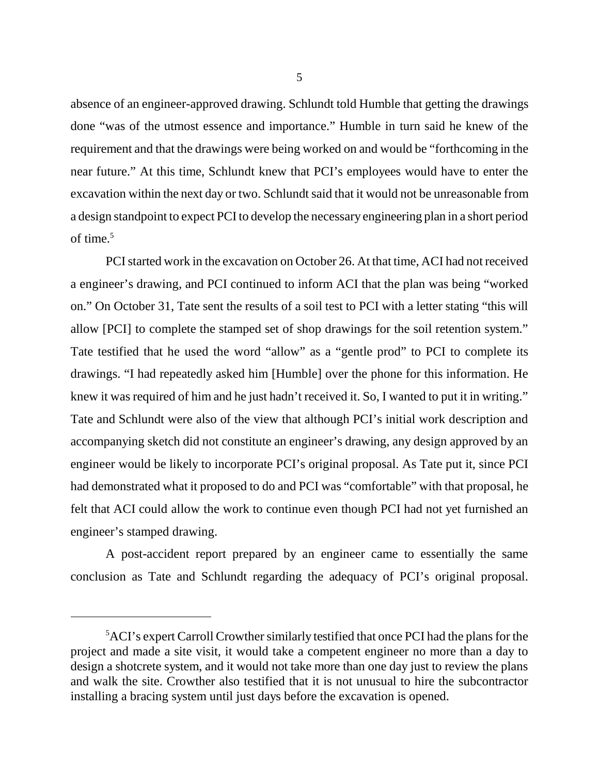absence of an engineer-approved drawing. Schlundt told Humble that getting the drawings done "was of the utmost essence and importance." Humble in turn said he knew of the requirement and that the drawings were being worked on and would be "forthcoming in the near future." At this time, Schlundt knew that PCI's employees would have to enter the excavation within the next day or two. Schlundt said that it would not be unreasonable from a design standpoint to expect PCI to develop the necessary engineering plan in a short period of time. $5$ 

PCI started work in the excavation on October 26. At that time, ACI had not received a engineer's drawing, and PCI continued to inform ACI that the plan was being "worked on." On October 31, Tate sent the results of a soil test to PCI with a letter stating "this will allow [PCI] to complete the stamped set of shop drawings for the soil retention system." Tate testified that he used the word "allow" as a "gentle prod" to PCI to complete its drawings. "I had repeatedly asked him [Humble] over the phone for this information. He knew it was required of him and he just hadn't received it. So, I wanted to put it in writing." Tate and Schlundt were also of the view that although PCI's initial work description and accompanying sketch did not constitute an engineer's drawing, any design approved by an engineer would be likely to incorporate PCI's original proposal. As Tate put it, since PCI had demonstrated what it proposed to do and PCI was "comfortable" with that proposal, he felt that ACI could allow the work to continue even though PCI had not yet furnished an engineer's stamped drawing.

A post-accident report prepared by an engineer came to essentially the same conclusion as Tate and Schlundt regarding the adequacy of PCI's original proposal.

<sup>&</sup>lt;sup>5</sup>ACI's expert Carroll Crowther similarly testified that once PCI had the plans for the project and made a site visit, it would take a competent engineer no more than a day to design a shotcrete system, and it would not take more than one day just to review the plans and walk the site. Crowther also testified that it is not unusual to hire the subcontractor installing a bracing system until just days before the excavation is opened.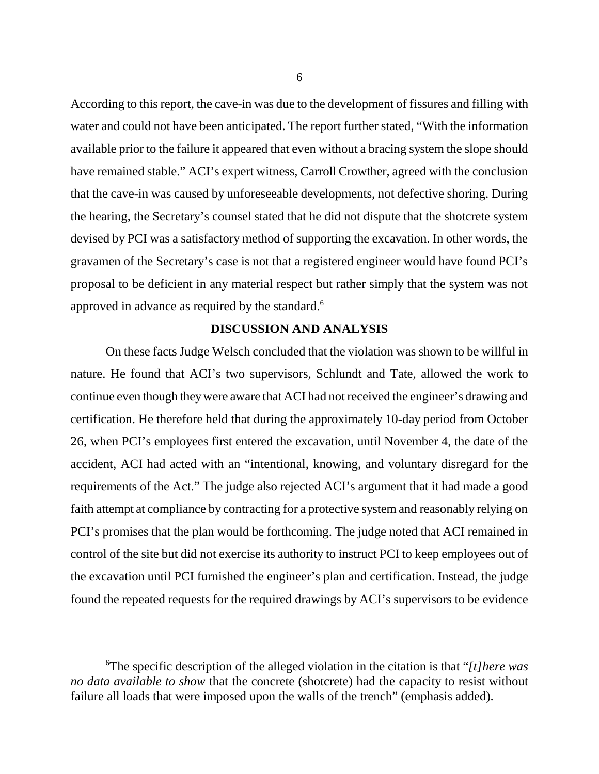According to this report, the cave-in was due to the development of fissures and filling with water and could not have been anticipated. The report further stated, "With the information available prior to the failure it appeared that even without a bracing system the slope should have remained stable." ACI's expert witness, Carroll Crowther, agreed with the conclusion that the cave-in was caused by unforeseeable developments, not defective shoring. During the hearing, the Secretary's counsel stated that he did not dispute that the shotcrete system devised by PCI was a satisfactory method of supporting the excavation. In other words, the gravamen of the Secretary's case is not that a registered engineer would have found PCI's proposal to be deficient in any material respect but rather simply that the system was not approved in advance as required by the standard.<sup>6</sup>

# **DISCUSSION AND ANALYSIS**

On these facts Judge Welsch concluded that the violation was shown to be willful in nature. He found that ACI's two supervisors, Schlundt and Tate, allowed the work to continue even though they were aware that ACI had not received the engineer's drawing and certification. He therefore held that during the approximately 10-day period from October 26, when PCI's employees first entered the excavation, until November 4, the date of the accident, ACI had acted with an "intentional, knowing, and voluntary disregard for the requirements of the Act." The judge also rejected ACI's argument that it had made a good faith attempt at compliance by contracting for a protective system and reasonably relying on PCI's promises that the plan would be forthcoming. The judge noted that ACI remained in control of the site but did not exercise its authority to instruct PCI to keep employees out of the excavation until PCI furnished the engineer's plan and certification. Instead, the judge found the repeated requests for the required drawings by ACI's supervisors to be evidence

<sup>6</sup> The specific description of the alleged violation in the citation is that "*[t]here was no data available to show* that the concrete (shotcrete) had the capacity to resist without failure all loads that were imposed upon the walls of the trench" (emphasis added).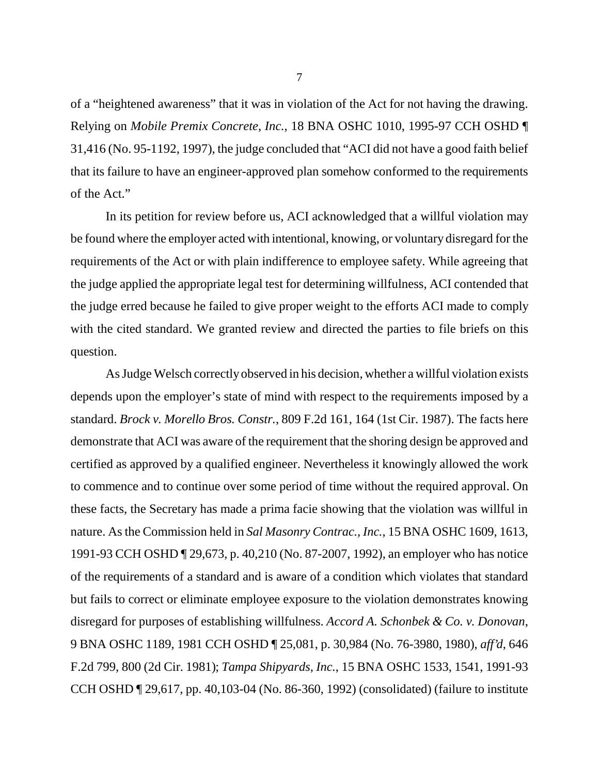of a "heightened awareness" that it was in violation of the Act for not having the drawing. Relying on *Mobile Premix Concrete, Inc.*, 18 BNA OSHC 1010, 1995-97 CCH OSHD ¶ 31,416 (No. 95-1192, 1997), the judge concluded that "ACI did not have a good faith belief that its failure to have an engineer-approved plan somehow conformed to the requirements of the Act."

In its petition for review before us, ACI acknowledged that a willful violation may be found where the employer acted with intentional, knowing, or voluntary disregard for the requirements of the Act or with plain indifference to employee safety. While agreeing that the judge applied the appropriate legal test for determining willfulness, ACI contended that the judge erred because he failed to give proper weight to the efforts ACI made to comply with the cited standard. We granted review and directed the parties to file briefs on this question.

As Judge Welsch correctly observed in his decision, whether a willful violation exists depends upon the employer's state of mind with respect to the requirements imposed by a standard. *Brock v. Morello Bros. Constr.*, 809 F.2d 161, 164 (1st Cir. 1987). The facts here demonstrate that ACI was aware of the requirement that the shoring design be approved and certified as approved by a qualified engineer. Nevertheless it knowingly allowed the work to commence and to continue over some period of time without the required approval. On these facts, the Secretary has made a prima facie showing that the violation was willful in nature. As the Commission held in *Sal Masonry Contrac., Inc.*, 15 BNA OSHC 1609, 1613, 1991-93 CCH OSHD ¶ 29,673, p. 40,210 (No. 87-2007, 1992), an employer who has notice of the requirements of a standard and is aware of a condition which violates that standard but fails to correct or eliminate employee exposure to the violation demonstrates knowing disregard for purposes of establishing willfulness. *Accord A. Schonbek & Co. v. Donovan*, 9 BNA OSHC 1189, 1981 CCH OSHD ¶ 25,081, p. 30,984 (No. 76-3980, 1980), *aff'd*, 646 F.2d 799, 800 (2d Cir. 1981); *Tampa Shipyards, Inc.*, 15 BNA OSHC 1533, 1541, 1991-93 CCH OSHD ¶ 29,617, pp. 40,103-04 (No. 86-360, 1992) (consolidated) (failure to institute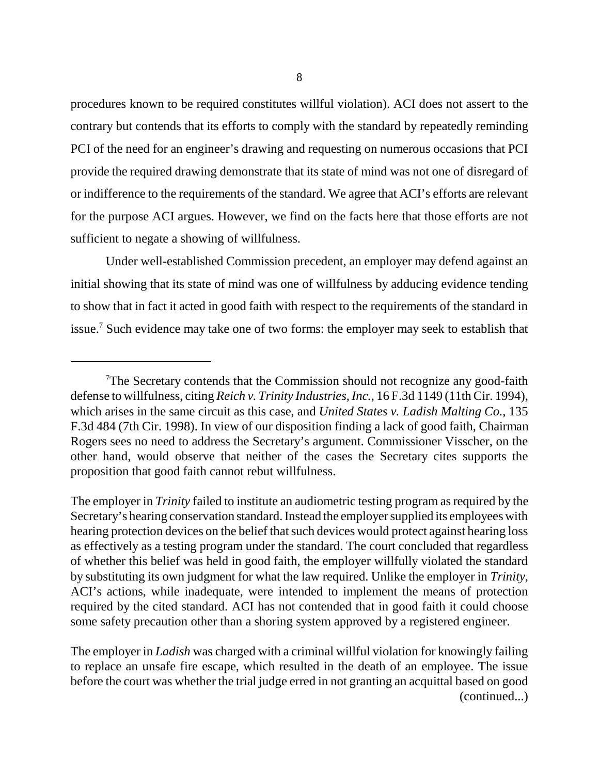procedures known to be required constitutes willful violation). ACI does not assert to the contrary but contends that its efforts to comply with the standard by repeatedly reminding PCI of the need for an engineer's drawing and requesting on numerous occasions that PCI provide the required drawing demonstrate that its state of mind was not one of disregard of or indifference to the requirements of the standard. We agree that ACI's efforts are relevant for the purpose ACI argues. However, we find on the facts here that those efforts are not sufficient to negate a showing of willfulness.

Under well-established Commission precedent, an employer may defend against an initial showing that its state of mind was one of willfulness by adducing evidence tending to show that in fact it acted in good faith with respect to the requirements of the standard in issue.<sup>7</sup> Such evidence may take one of two forms: the employer may seek to establish that

The employer in *Ladish* was charged with a criminal willful violation for knowingly failing to replace an unsafe fire escape, which resulted in the death of an employee. The issue before the court was whether the trial judge erred in not granting an acquittal based on good (continued...)

<sup>&</sup>lt;sup>7</sup>The Secretary contends that the Commission should not recognize any good-faith defense to willfulness, citing *Reich v. Trinity Industries, Inc.*, 16 F.3d 1149 (11th Cir. 1994), which arises in the same circuit as this case, and *United States v. Ladish Malting Co.*, 135 F.3d 484 (7th Cir. 1998). In view of our disposition finding a lack of good faith, Chairman Rogers sees no need to address the Secretary's argument. Commissioner Visscher, on the other hand, would observe that neither of the cases the Secretary cites supports the proposition that good faith cannot rebut willfulness.

The employer in *Trinity* failed to institute an audiometric testing program as required by the Secretary's hearing conservation standard. Instead the employer supplied its employees with hearing protection devices on the belief that such devices would protect against hearing loss as effectively as a testing program under the standard. The court concluded that regardless of whether this belief was held in good faith, the employer willfully violated the standard by substituting its own judgment for what the law required. Unlike the employer in *Trinity*, ACI's actions, while inadequate, were intended to implement the means of protection required by the cited standard. ACI has not contended that in good faith it could choose some safety precaution other than a shoring system approved by a registered engineer.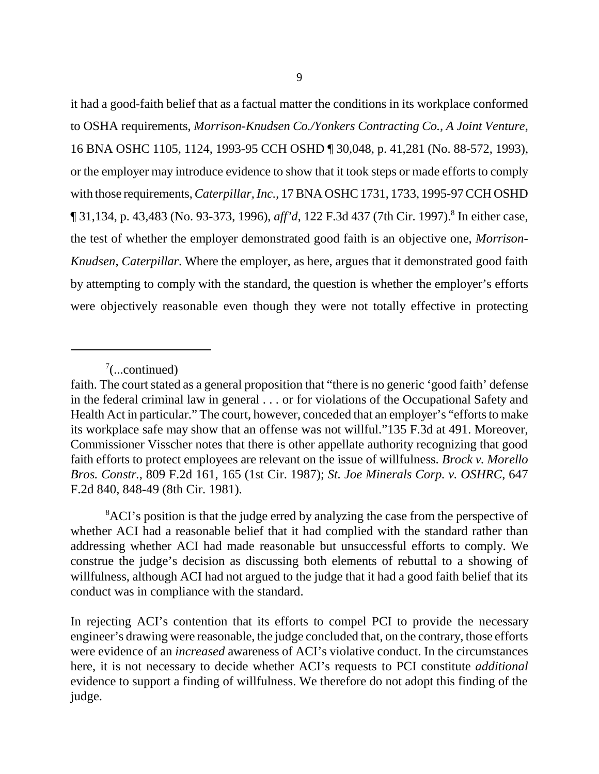it had a good-faith belief that as a factual matter the conditions in its workplace conformed to OSHA requirements, *Morrison-Knudsen Co./Yonkers Contracting Co., A Joint Venture*, 16 BNA OSHC 1105, 1124, 1993-95 CCH OSHD ¶ 30,048, p. 41,281 (No. 88-572, 1993), or the employer may introduce evidence to show that it took steps or made efforts to comply with those requirements, *Caterpillar, Inc.*, 17 BNA OSHC 1731, 1733, 1995-97 CCH OSHD ¶ 31,134, p. 43,483 (No. 93-373, 1996), *aff'd*, 122 F.3d 437 (7th Cir. 1997).8 In either case, the test of whether the employer demonstrated good faith is an objective one, *Morrison-Knudsen*, *Caterpillar*. Where the employer, as here, argues that it demonstrated good faith by attempting to comply with the standard, the question is whether the employer's efforts were objectively reasonable even though they were not totally effective in protecting

 $7$ (...continued)

faith. The court stated as a general proposition that "there is no generic 'good faith' defense in the federal criminal law in general . . . or for violations of the Occupational Safety and Health Act in particular." The court, however, conceded that an employer's "efforts to make its workplace safe may show that an offense was not willful."135 F.3d at 491. Moreover, Commissioner Visscher notes that there is other appellate authority recognizing that good faith efforts to protect employees are relevant on the issue of willfulness. *Brock v. Morello Bros. Constr.*, 809 F.2d 161, 165 (1st Cir. 1987); *St. Joe Minerals Corp. v. OSHRC*, 647 F.2d 840, 848-49 (8th Cir. 1981).

<sup>&</sup>lt;sup>8</sup>ACI's position is that the judge erred by analyzing the case from the perspective of whether ACI had a reasonable belief that it had complied with the standard rather than addressing whether ACI had made reasonable but unsuccessful efforts to comply. We construe the judge's decision as discussing both elements of rebuttal to a showing of willfulness, although ACI had not argued to the judge that it had a good faith belief that its conduct was in compliance with the standard.

In rejecting ACI's contention that its efforts to compel PCI to provide the necessary engineer's drawing were reasonable, the judge concluded that, on the contrary, those efforts were evidence of an *increased* awareness of ACI's violative conduct. In the circumstances here, it is not necessary to decide whether ACI's requests to PCI constitute *additional* evidence to support a finding of willfulness. We therefore do not adopt this finding of the judge.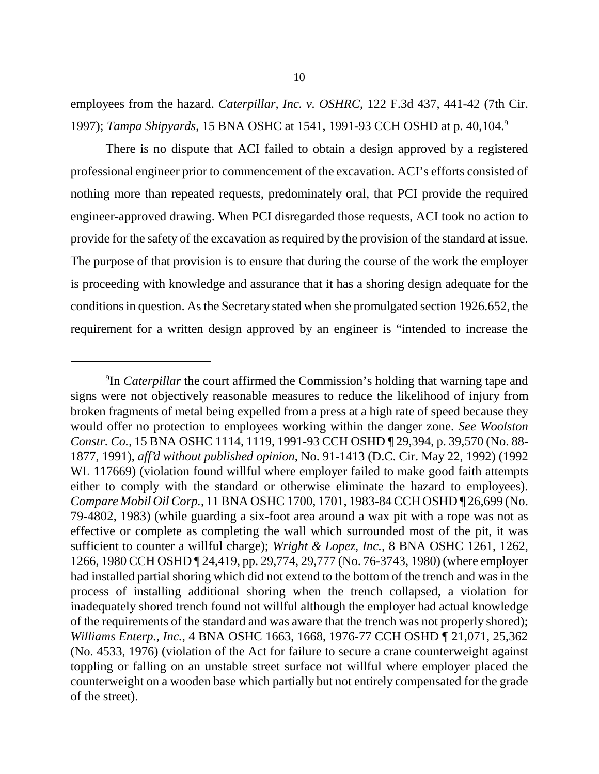employees from the hazard. *Caterpillar, Inc. v. OSHRC*, 122 F.3d 437, 441-42 (7th Cir. 1997); *Tampa Shipyards*, 15 BNA OSHC at 1541, 1991-93 CCH OSHD at p. 40,104.9

There is no dispute that ACI failed to obtain a design approved by a registered professional engineer prior to commencement of the excavation. ACI's efforts consisted of nothing more than repeated requests, predominately oral, that PCI provide the required engineer-approved drawing. When PCI disregarded those requests, ACI took no action to provide for the safety of the excavation as required by the provision of the standard at issue. The purpose of that provision is to ensure that during the course of the work the employer is proceeding with knowledge and assurance that it has a shoring design adequate for the conditions in question. As the Secretary stated when she promulgated section 1926.652, the requirement for a written design approved by an engineer is "intended to increase the

<sup>&</sup>lt;sup>9</sup>In *Caterpillar* the court affirmed the Commission's holding that warning tape and signs were not objectively reasonable measures to reduce the likelihood of injury from broken fragments of metal being expelled from a press at a high rate of speed because they would offer no protection to employees working within the danger zone. *See Woolston Constr. Co.*, 15 BNA OSHC 1114, 1119, 1991-93 CCH OSHD ¶ 29,394, p. 39,570 (No. 88- 1877, 1991), *aff'd without published opinion*, No. 91-1413 (D.C. Cir. May 22, 1992) (1992 WL 117669) (violation found willful where employer failed to make good faith attempts either to comply with the standard or otherwise eliminate the hazard to employees). *Compare Mobil Oil Corp.*, 11 BNA OSHC 1700, 1701, 1983-84 CCH OSHD ¶ 26,699 (No. 79-4802, 1983) (while guarding a six-foot area around a wax pit with a rope was not as effective or complete as completing the wall which surrounded most of the pit, it was sufficient to counter a willful charge); *Wright & Lopez, Inc.*, 8 BNA OSHC 1261, 1262, 1266, 1980 CCH OSHD ¶ 24,419, pp. 29,774, 29,777 (No. 76-3743, 1980) (where employer had installed partial shoring which did not extend to the bottom of the trench and was in the process of installing additional shoring when the trench collapsed, a violation for inadequately shored trench found not willful although the employer had actual knowledge of the requirements of the standard and was aware that the trench was not properly shored); *Williams Enterp., Inc.*, 4 BNA OSHC 1663, 1668, 1976-77 CCH OSHD ¶ 21,071, 25,362 (No. 4533, 1976) (violation of the Act for failure to secure a crane counterweight against toppling or falling on an unstable street surface not willful where employer placed the counterweight on a wooden base which partially but not entirely compensated for the grade of the street).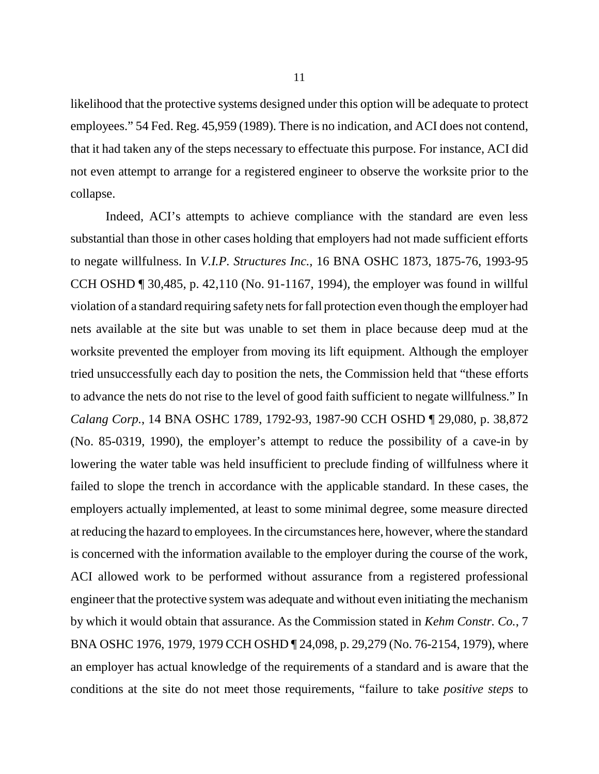likelihood that the protective systems designed under this option will be adequate to protect employees." 54 Fed. Reg. 45,959 (1989). There is no indication, and ACI does not contend, that it had taken any of the steps necessary to effectuate this purpose. For instance, ACI did not even attempt to arrange for a registered engineer to observe the worksite prior to the collapse.

Indeed, ACI's attempts to achieve compliance with the standard are even less substantial than those in other cases holding that employers had not made sufficient efforts to negate willfulness. In *V.I.P. Structures Inc.,* 16 BNA OSHC 1873, 1875-76, 1993-95 CCH OSHD ¶ 30,485, p. 42,110 (No. 91-1167, 1994), the employer was found in willful violation of a standard requiring safety nets for fall protection even though the employer had nets available at the site but was unable to set them in place because deep mud at the worksite prevented the employer from moving its lift equipment. Although the employer tried unsuccessfully each day to position the nets, the Commission held that "these efforts to advance the nets do not rise to the level of good faith sufficient to negate willfulness." In *Calang Corp.*, 14 BNA OSHC 1789, 1792-93, 1987-90 CCH OSHD ¶ 29,080, p. 38,872 (No. 85-0319, 1990), the employer's attempt to reduce the possibility of a cave-in by lowering the water table was held insufficient to preclude finding of willfulness where it failed to slope the trench in accordance with the applicable standard. In these cases, the employers actually implemented, at least to some minimal degree, some measure directed at reducing the hazard to employees. In the circumstances here, however, where the standard is concerned with the information available to the employer during the course of the work, ACI allowed work to be performed without assurance from a registered professional engineer that the protective system was adequate and without even initiating the mechanism by which it would obtain that assurance. As the Commission stated in *Kehm Constr. Co.*, 7 BNA OSHC 1976, 1979, 1979 CCH OSHD ¶ 24,098, p. 29,279 (No. 76-2154, 1979), where an employer has actual knowledge of the requirements of a standard and is aware that the conditions at the site do not meet those requirements, "failure to take *positive steps* to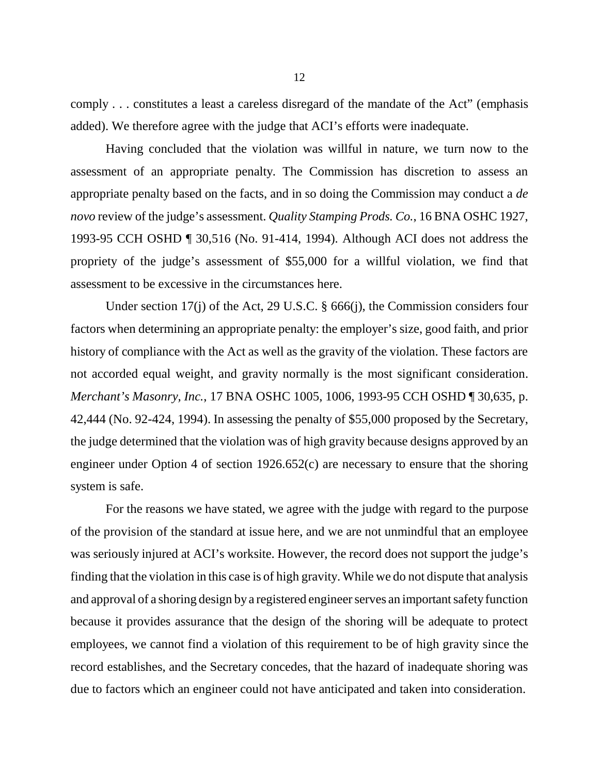comply . . . constitutes a least a careless disregard of the mandate of the Act" (emphasis added). We therefore agree with the judge that ACI's efforts were inadequate.

Having concluded that the violation was willful in nature, we turn now to the assessment of an appropriate penalty. The Commission has discretion to assess an appropriate penalty based on the facts, and in so doing the Commission may conduct a *de novo* review of the judge's assessment. *Quality Stamping Prods. Co.*, 16 BNA OSHC 1927, 1993-95 CCH OSHD ¶ 30,516 (No. 91-414, 1994). Although ACI does not address the propriety of the judge's assessment of \$55,000 for a willful violation, we find that assessment to be excessive in the circumstances here.

Under section 17(j) of the Act, 29 U.S.C. § 666(j), the Commission considers four factors when determining an appropriate penalty: the employer's size, good faith, and prior history of compliance with the Act as well as the gravity of the violation. These factors are not accorded equal weight, and gravity normally is the most significant consideration. *Merchant's Masonry, Inc.*, 17 BNA OSHC 1005, 1006, 1993-95 CCH OSHD ¶ 30,635, p. 42,444 (No. 92-424, 1994). In assessing the penalty of \$55,000 proposed by the Secretary, the judge determined that the violation was of high gravity because designs approved by an engineer under Option 4 of section 1926.652(c) are necessary to ensure that the shoring system is safe.

For the reasons we have stated, we agree with the judge with regard to the purpose of the provision of the standard at issue here, and we are not unmindful that an employee was seriously injured at ACI's worksite. However, the record does not support the judge's finding that the violation in this case is of high gravity. While we do not dispute that analysis and approval of a shoring design by a registered engineer serves an important safety function because it provides assurance that the design of the shoring will be adequate to protect employees, we cannot find a violation of this requirement to be of high gravity since the record establishes, and the Secretary concedes, that the hazard of inadequate shoring was due to factors which an engineer could not have anticipated and taken into consideration.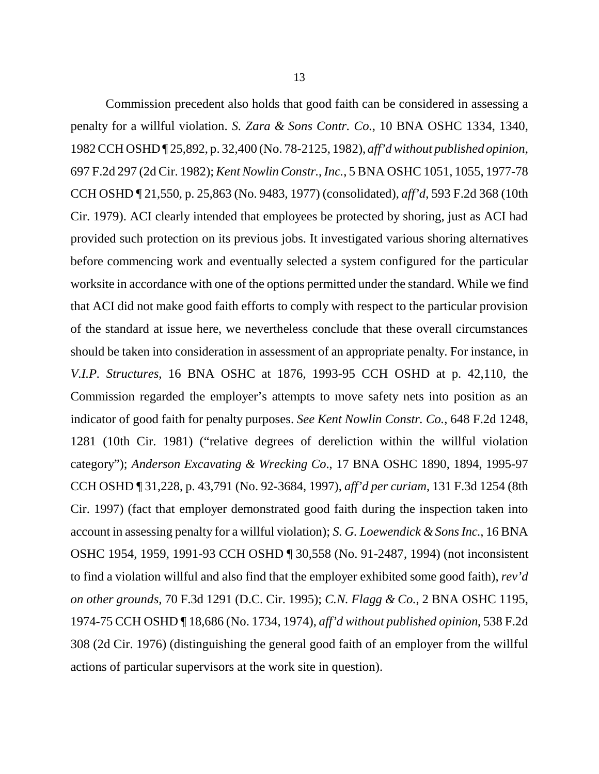13 Commission precedent also holds that good faith can be considered in assessing a

penalty for a willful violation. *S. Zara & Sons Contr. Co.*, 10 BNA OSHC 1334, 1340, 1982 CCH OSHD ¶ 25,892, p. 32,400 (No. 78-2125, 1982), *aff'd without published opinion*, 697 F.2d 297 (2d Cir. 1982); *Kent Nowlin Constr.*, *Inc.*, 5 BNA OSHC 1051, 1055, 1977-78 CCH OSHD ¶ 21,550, p. 25,863 (No. 9483, 1977) (consolidated), *aff'd*, 593 F.2d 368 (10th Cir. 1979). ACI clearly intended that employees be protected by shoring, just as ACI had provided such protection on its previous jobs. It investigated various shoring alternatives before commencing work and eventually selected a system configured for the particular worksite in accordance with one of the options permitted under the standard. While we find that ACI did not make good faith efforts to comply with respect to the particular provision of the standard at issue here, we nevertheless conclude that these overall circumstances should be taken into consideration in assessment of an appropriate penalty. For instance, in *V.I.P. Structures*, 16 BNA OSHC at 1876, 1993-95 CCH OSHD at p. 42,110, the Commission regarded the employer's attempts to move safety nets into position as an indicator of good faith for penalty purposes. *See Kent Nowlin Constr. Co.*, 648 F.2d 1248, 1281 (10th Cir. 1981) ("relative degrees of dereliction within the willful violation category"); *Anderson Excavating & Wrecking Co*., 17 BNA OSHC 1890, 1894, 1995-97 CCH OSHD ¶ 31,228, p. 43,791 (No. 92-3684, 1997), *aff'd per curiam*, 131 F.3d 1254 (8th Cir. 1997) (fact that employer demonstrated good faith during the inspection taken into account in assessing penalty for a willful violation); *S. G. Loewendick & Sons Inc.*, 16 BNA OSHC 1954, 1959, 1991-93 CCH OSHD ¶ 30,558 (No. 91-2487, 1994) (not inconsistent to find a violation willful and also find that the employer exhibited some good faith), *rev'd on other grounds,* 70 F.3d 1291 (D.C. Cir. 1995); *C.N. Flagg & Co.*, 2 BNA OSHC 1195, 1974-75 CCH OSHD ¶ 18,686 (No. 1734, 1974), *aff'd without published opinion*, 538 F.2d 308 (2d Cir. 1976) (distinguishing the general good faith of an employer from the willful actions of particular supervisors at the work site in question).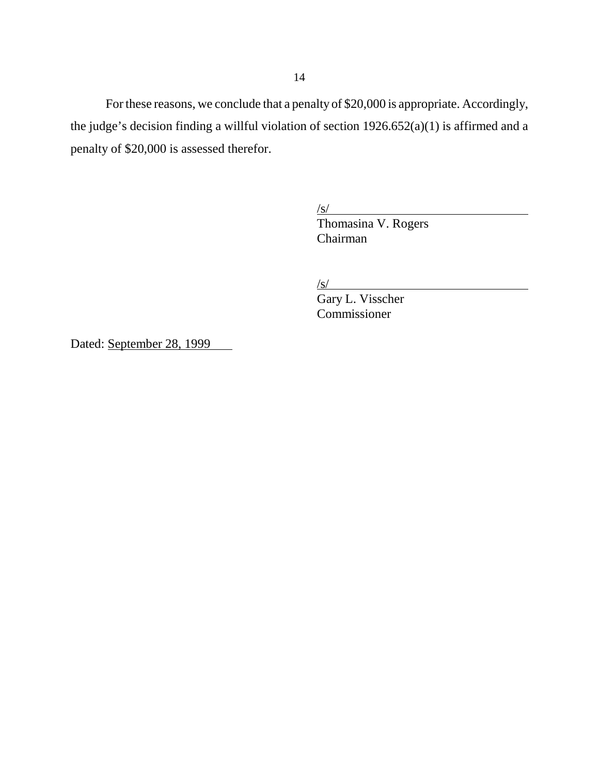For these reasons, we conclude that a penalty of \$20,000 is appropriate. Accordingly, the judge's decision finding a willful violation of section 1926.652(a)(1) is affirmed and a penalty of \$20,000 is assessed therefor.

/s/

Thomasina V. Rogers Chairman

 $\sqrt{s}$ /

Gary L. Visscher Commissioner

Dated: September 28, 1999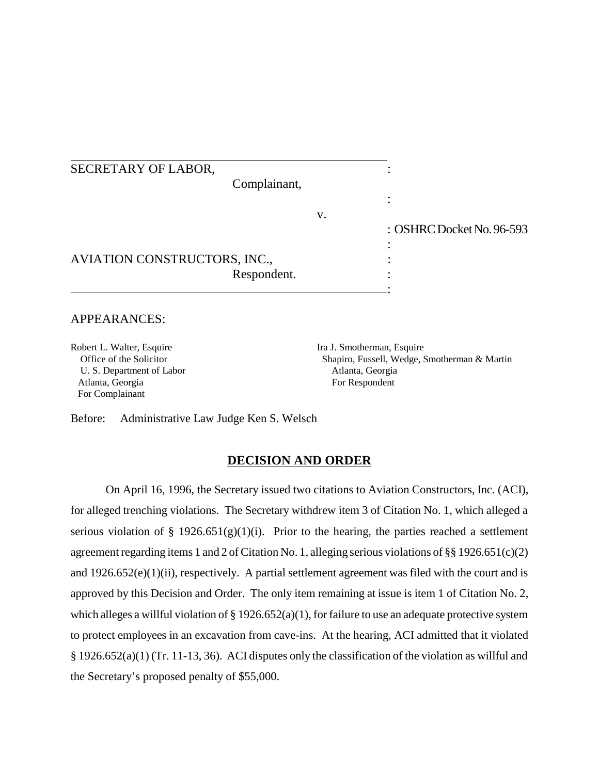| SECRETARY OF LABOR,          |                           |
|------------------------------|---------------------------|
| Complainant,                 |                           |
|                              |                           |
| V.                           | : OSHRC Docket No. 96-593 |
|                              |                           |
| AVIATION CONSTRUCTORS, INC., |                           |
| Respondent.                  |                           |

### APPEARANCES:

Robert L. Walter, Esquire Ira J. Smotherman, Esquire U. S. Department of Labor Atlanta, Georgia Atlanta, Georgia For Respondent For Complainant

Office of the Solicitor Shapiro, Fussell, Wedge, Smotherman & Martin

Before: Administrative Law Judge Ken S. Welsch

#### **DECISION AND ORDER**

On April 16, 1996, the Secretary issued two citations to Aviation Constructors, Inc. (ACI), for alleged trenching violations. The Secretary withdrew item 3 of Citation No. 1, which alleged a serious violation of § 1926.651(g)(1)(i). Prior to the hearing, the parties reached a settlement agreement regarding items 1 and 2 of Citation No. 1, alleging serious violations of §§ 1926.651(c)(2) and  $1926.652(e)(1)(ii)$ , respectively. A partial settlement agreement was filed with the court and is approved by this Decision and Order. The only item remaining at issue is item 1 of Citation No. 2, which alleges a willful violation of  $\S 1926.652(a)(1)$ , for failure to use an adequate protective system to protect employees in an excavation from cave-ins. At the hearing, ACI admitted that it violated § 1926.652(a)(1) (Tr. 11-13, 36). ACI disputes only the classification of the violation as willful and the Secretary's proposed penalty of \$55,000.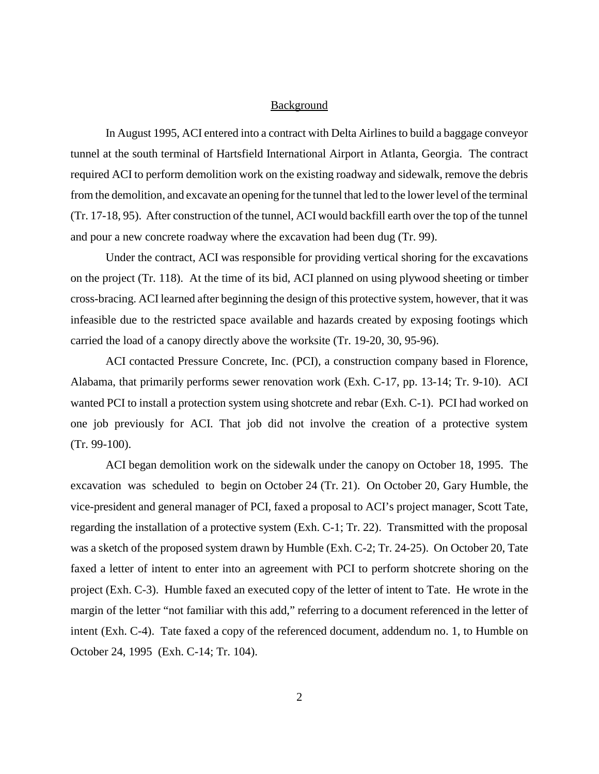#### **Background**

In August 1995, ACI entered into a contract with Delta Airlines to build a baggage conveyor tunnel at the south terminal of Hartsfield International Airport in Atlanta, Georgia. The contract required ACI to perform demolition work on the existing roadway and sidewalk, remove the debris from the demolition, and excavate an opening for the tunnel that led to the lower level of the terminal (Tr. 17-18, 95). After construction of the tunnel, ACI would backfill earth over the top of the tunnel and pour a new concrete roadway where the excavation had been dug (Tr. 99).

Under the contract, ACI was responsible for providing vertical shoring for the excavations on the project (Tr. 118). At the time of its bid, ACI planned on using plywood sheeting or timber cross-bracing. ACI learned after beginning the design of this protective system, however, that it was infeasible due to the restricted space available and hazards created by exposing footings which carried the load of a canopy directly above the worksite (Tr. 19-20, 30, 95-96).

ACI contacted Pressure Concrete, Inc. (PCI), a construction company based in Florence, Alabama, that primarily performs sewer renovation work (Exh. C-17, pp. 13-14; Tr. 9-10). ACI wanted PCI to install a protection system using shotcrete and rebar (Exh. C-1). PCI had worked on one job previously for ACI. That job did not involve the creation of a protective system (Tr. 99-100).

ACI began demolition work on the sidewalk under the canopy on October 18, 1995. The excavation was scheduled to begin on October 24 (Tr. 21). On October 20, Gary Humble, the vice-president and general manager of PCI, faxed a proposal to ACI's project manager, Scott Tate, regarding the installation of a protective system (Exh. C-1; Tr. 22). Transmitted with the proposal was a sketch of the proposed system drawn by Humble (Exh. C-2; Tr. 24-25). On October 20, Tate faxed a letter of intent to enter into an agreement with PCI to perform shotcrete shoring on the project (Exh. C-3). Humble faxed an executed copy of the letter of intent to Tate. He wrote in the margin of the letter "not familiar with this add," referring to a document referenced in the letter of intent (Exh. C-4). Tate faxed a copy of the referenced document, addendum no. 1, to Humble on October 24, 1995 (Exh. C-14; Tr. 104).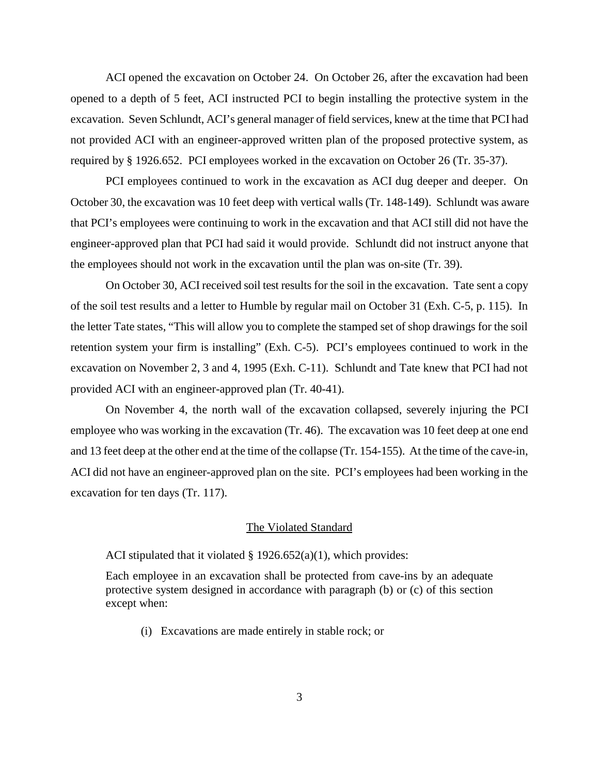ACI opened the excavation on October 24. On October 26, after the excavation had been opened to a depth of 5 feet, ACI instructed PCI to begin installing the protective system in the excavation. Seven Schlundt, ACI's general manager of field services, knew at the time that PCI had not provided ACI with an engineer-approved written plan of the proposed protective system, as required by § 1926.652. PCI employees worked in the excavation on October 26 (Tr. 35-37).

PCI employees continued to work in the excavation as ACI dug deeper and deeper. On October 30, the excavation was 10 feet deep with vertical walls (Tr. 148-149). Schlundt was aware that PCI's employees were continuing to work in the excavation and that ACI still did not have the engineer-approved plan that PCI had said it would provide. Schlundt did not instruct anyone that the employees should not work in the excavation until the plan was on-site (Tr. 39).

On October 30, ACI received soil test results for the soil in the excavation. Tate sent a copy of the soil test results and a letter to Humble by regular mail on October 31 (Exh. C-5, p. 115). In the letter Tate states, "This will allow you to complete the stamped set of shop drawings for the soil retention system your firm is installing" (Exh. C-5). PCI's employees continued to work in the excavation on November 2, 3 and 4, 1995 (Exh. C-11). Schlundt and Tate knew that PCI had not provided ACI with an engineer-approved plan (Tr. 40-41).

On November 4, the north wall of the excavation collapsed, severely injuring the PCI employee who was working in the excavation (Tr. 46). The excavation was 10 feet deep at one end and 13 feet deep at the other end at the time of the collapse (Tr. 154-155). At the time of the cave-in, ACI did not have an engineer-approved plan on the site. PCI's employees had been working in the excavation for ten days (Tr. 117).

#### The Violated Standard

ACI stipulated that it violated  $\S$  1926.652(a)(1), which provides:

Each employee in an excavation shall be protected from cave-ins by an adequate protective system designed in accordance with paragraph (b) or (c) of this section except when:

(i) Excavations are made entirely in stable rock; or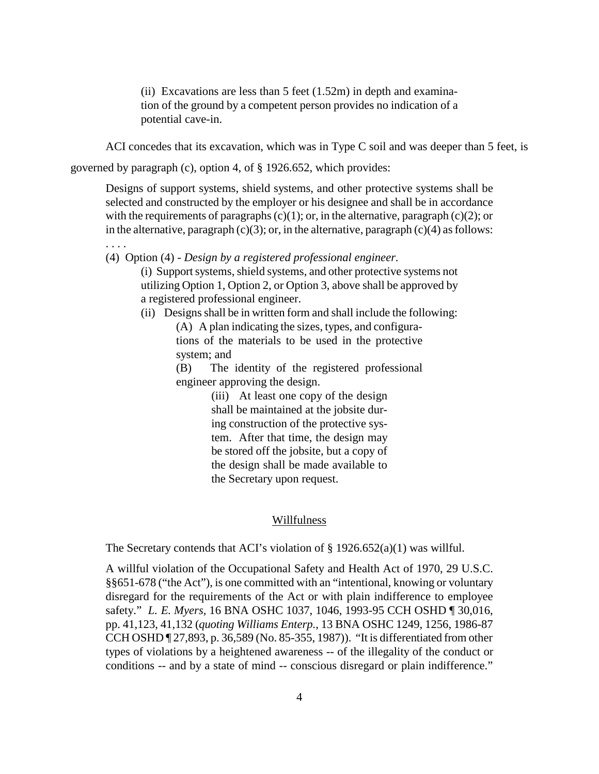(ii) Excavations are less than  $5$  feet (1.52m) in depth and examination of the ground by a competent person provides no indication of a potential cave-in.

ACI concedes that its excavation, which was in Type C soil and was deeper than 5 feet, is

governed by paragraph (c), option 4, of § 1926.652, which provides:

Designs of support systems, shield systems, and other protective systems shall be selected and constructed by the employer or his designee and shall be in accordance with the requirements of paragraphs  $(c)(1)$ ; or, in the alternative, paragraph  $(c)(2)$ ; or in the alternative, paragraph  $(c)(3)$ ; or, in the alternative, paragraph  $(c)(4)$  as follows:

. . . .

(4) Option (4) - *Design by a registered professional engineer*.

(i) Support systems, shield systems, and other protective systems not utilizing Option 1, Option 2, or Option 3, above shall be approved by a registered professional engineer.

(ii) Designs shall be in written form and shall include the following:

(A) A plan indicating the sizes, types, and configurations of the materials to be used in the protective system; and

(B) The identity of the registered professional engineer approving the design.

> (iii) At least one copy of the design shall be maintained at the jobsite during construction of the protective system. After that time, the design may be stored off the jobsite, but a copy of the design shall be made available to the Secretary upon request.

### Willfulness

The Secretary contends that ACI's violation of  $\S 1926.652(a)(1)$  was willful.

A willful violation of the Occupational Safety and Health Act of 1970, 29 U.S.C. §§651-678 ("the Act"), is one committed with an "intentional, knowing or voluntary disregard for the requirements of the Act or with plain indifference to employee safety." *L. E. Myers,* 16 BNA OSHC 1037, 1046, 1993-95 CCH OSHD ¶ 30,016, pp. 41,123, 41,132 (*quoting Williams Enterp.*, 13 BNA OSHC 1249, 1256, 1986-87 CCH OSHD ¶ 27,893, p. 36,589 (No. 85-355, 1987)). "It is differentiated from other types of violations by a heightened awareness -- of the illegality of the conduct or conditions -- and by a state of mind -- conscious disregard or plain indifference."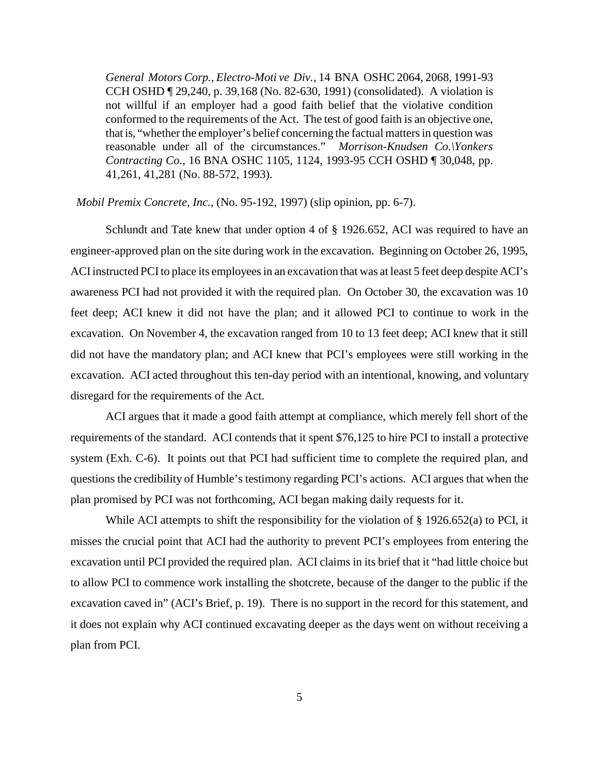*General Motors Corp., Electro-Moti ve Div.*, 14 BNA OSHC 2064, 2068, 1991-93 CCH OSHD ¶ 29,240, p. 39,168 (No. 82-630, 1991) (consolidated). A violation is not willful if an employer had a good faith belief that the violative condition conformed to the requirements of the Act. The test of good faith is an objective one, that is, "whether the employer's belief concerning the factual matters in question was reasonable under all of the circumstances." *Morrison-Knudsen Co.\Yonkers Contracting Co.*, 16 BNA OSHC 1105, 1124, 1993-95 CCH OSHD ¶ 30,048, pp. 41,261, 41,281 (No. 88-572, 1993).

#### *Mobil Premix Concrete, Inc.*, (No. 95-192, 1997) (slip opinion, pp. 6-7).

Schlundt and Tate knew that under option 4 of § 1926.652, ACI was required to have an engineer-approved plan on the site during work in the excavation. Beginning on October 26, 1995, ACI instructed PCI to place its employees in an excavation that was at least 5 feet deep despite ACI's awareness PCI had not provided it with the required plan. On October 30, the excavation was 10 feet deep; ACI knew it did not have the plan; and it allowed PCI to continue to work in the excavation. On November 4, the excavation ranged from 10 to 13 feet deep; ACI knew that it still did not have the mandatory plan; and ACI knew that PCI's employees were still working in the excavation. ACI acted throughout this ten-day period with an intentional, knowing, and voluntary disregard for the requirements of the Act.

ACI argues that it made a good faith attempt at compliance, which merely fell short of the requirements of the standard. ACI contends that it spent \$76,125 to hire PCI to install a protective system (Exh. C-6). It points out that PCI had sufficient time to complete the required plan, and questions the credibility of Humble's testimony regarding PCI's actions. ACI argues that when the plan promised by PCI was not forthcoming, ACI began making daily requests for it.

While ACI attempts to shift the responsibility for the violation of § 1926.652(a) to PCI, it misses the crucial point that ACI had the authority to prevent PCI's employees from entering the excavation until PCI provided the required plan. ACI claims in its brief that it "had little choice but to allow PCI to commence work installing the shotcrete, because of the danger to the public if the excavation caved in" (ACI's Brief, p. 19). There is no support in the record for this statement, and it does not explain why ACI continued excavating deeper as the days went on without receiving a plan from PCI.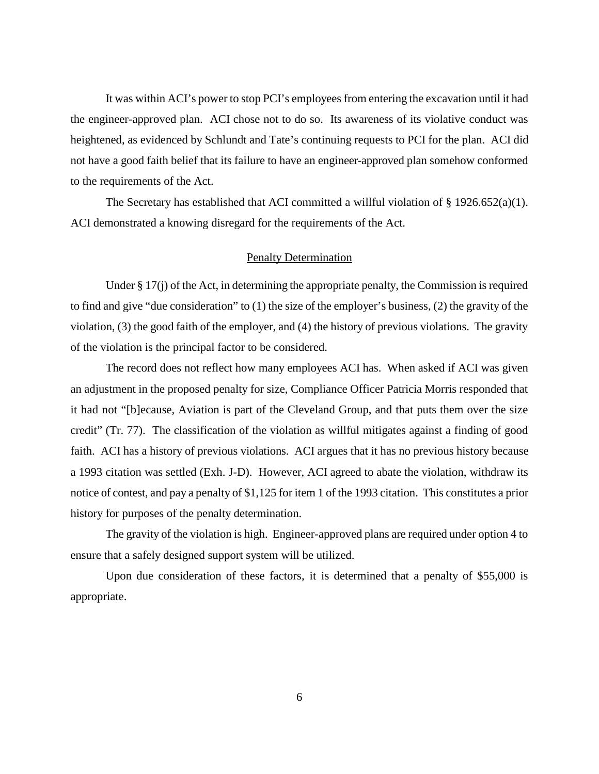It was within ACI's power to stop PCI's employees from entering the excavation until it had the engineer-approved plan. ACI chose not to do so. Its awareness of its violative conduct was heightened, as evidenced by Schlundt and Tate's continuing requests to PCI for the plan. ACI did not have a good faith belief that its failure to have an engineer-approved plan somehow conformed to the requirements of the Act.

The Secretary has established that ACI committed a willful violation of  $\S$  1926.652(a)(1). ACI demonstrated a knowing disregard for the requirements of the Act.

#### Penalty Determination

Under § 17(j) of the Act, in determining the appropriate penalty, the Commission is required to find and give "due consideration" to (1) the size of the employer's business, (2) the gravity of the violation, (3) the good faith of the employer, and (4) the history of previous violations. The gravity of the violation is the principal factor to be considered.

The record does not reflect how many employees ACI has. When asked if ACI was given an adjustment in the proposed penalty for size, Compliance Officer Patricia Morris responded that it had not "[b]ecause, Aviation is part of the Cleveland Group, and that puts them over the size credit" (Tr. 77). The classification of the violation as willful mitigates against a finding of good faith. ACI has a history of previous violations. ACI argues that it has no previous history because a 1993 citation was settled (Exh. J-D). However, ACI agreed to abate the violation, withdraw its notice of contest, and pay a penalty of \$1,125 for item 1 of the 1993 citation. This constitutes a prior history for purposes of the penalty determination.

The gravity of the violation is high. Engineer-approved plans are required under option 4 to ensure that a safely designed support system will be utilized.

Upon due consideration of these factors, it is determined that a penalty of \$55,000 is appropriate.